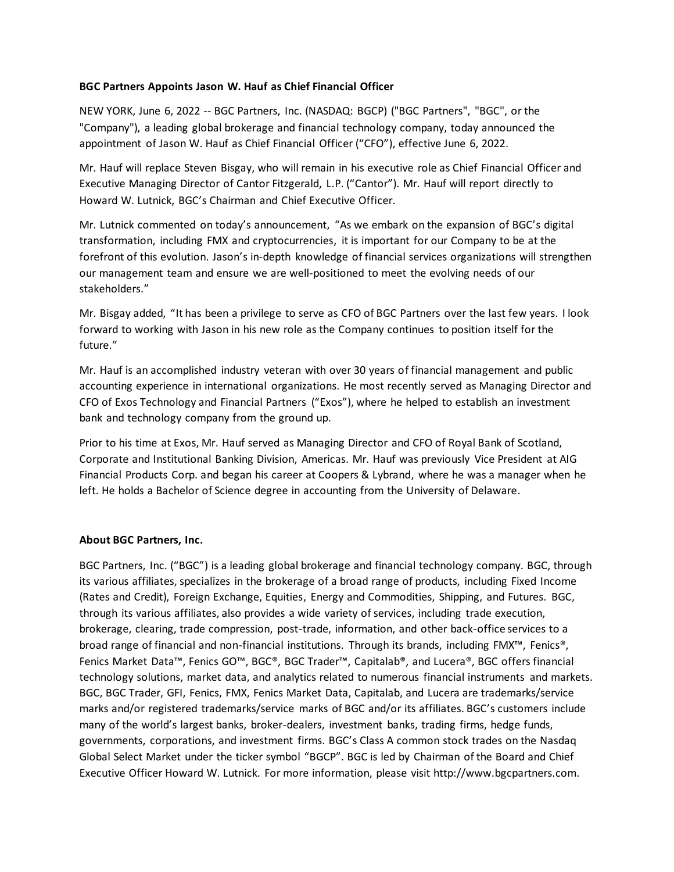## **BGC Partners Appoints Jason W. Hauf as Chief Financial Officer**

NEW YORK, June 6, 2022 -- BGC Partners, Inc. (NASDAQ: BGCP) ("BGC Partners", "BGC", or the "Company"), a leading global brokerage and financial technology company, today announced the appointment of Jason W. Hauf as Chief Financial Officer ("CFO"), effective June 6, 2022.

Mr. Hauf will replace Steven Bisgay, who will remain in his executive role as Chief Financial Officer and Executive Managing Director of Cantor Fitzgerald, L.P. ("Cantor"). Mr. Hauf will report directly to Howard W. Lutnick, BGC's Chairman and Chief Executive Officer.

Mr. Lutnick commented on today's announcement, "As we embark on the expansion of BGC's digital transformation, including FMX and cryptocurrencies, it is important for our Company to be at the forefront of this evolution. Jason's in-depth knowledge of financial services organizations will strengthen our management team and ensure we are well-positioned to meet the evolving needs of our stakeholders."

Mr. Bisgay added, "It has been a privilege to serve as CFO of BGC Partners over the last few years. I look forward to working with Jason in his new role as the Company continues to position itself for the future."

Mr. Hauf is an accomplished industry veteran with over 30 years of financial management and public accounting experience in international organizations. He most recently served as Managing Director and CFO of Exos Technology and Financial Partners ("Exos"), where he helped to establish an investment bank and technology company from the ground up.

Prior to his time at Exos, Mr. Hauf served as Managing Director and CFO of Royal Bank of Scotland, Corporate and Institutional Banking Division, Americas. Mr. Hauf was previously Vice President at AIG Financial Products Corp. and began his career at Coopers & Lybrand, where he was a manager when he left. He holds a Bachelor of Science degree in accounting from the University of Delaware.

## **About BGC Partners, Inc.**

BGC Partners, Inc. ("BGC") is a leading global brokerage and financial technology company. BGC, through its various affiliates, specializes in the brokerage of a broad range of products, including Fixed Income (Rates and Credit), Foreign Exchange, Equities, Energy and Commodities, Shipping, and Futures. BGC, through its various affiliates, also provides a wide variety of services, including trade execution, brokerage, clearing, trade compression, post-trade, information, and other back-office services to a broad range of financial and non-financial institutions. Through its brands, including FMX™, Fenics®, Fenics Market Data™, Fenics GO™, BGC®, BGC Trader™, Capitalab®, and Lucera®, BGC offers financial technology solutions, market data, and analytics related to numerous financial instruments and markets. BGC, BGC Trader, GFI, Fenics, FMX, Fenics Market Data, Capitalab, and Lucera are trademarks/service marks and/or registered trademarks/service marks of BGC and/or its affiliates. BGC's customers include many of the world's largest banks, broker-dealers, investment banks, trading firms, hedge funds, governments, corporations, and investment firms. BGC's Class A common stock trades on the Nasdaq Global Select Market under the ticker symbol "BGCP". BGC is led by Chairman of the Board and Chief Executive Officer Howard W. Lutnick. For more information, please visit http://www.bgcpartners.com.